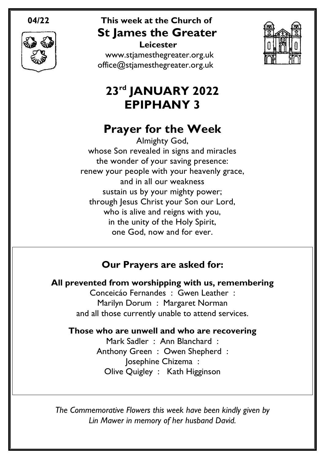

#### **04/22 This week at the Church of St James the Greater Leicester**

[www.stjamesthegreater.org.uk](http://www.stjamesthegreater.org.uk/) [office@stjamesthegreater.org.uk](mailto:office@stjamesthegreater.org.uk)



# **23rd JANUARY 2022 EPIPHANY 3**

# **Prayer for the Week**

Almighty God, whose Son revealed in signs and miracles the wonder of your saving presence: renew your people with your heavenly grace, and in all our weakness sustain us by your mighty power; through Jesus Christ your Son our Lord, who is alive and reigns with you, in the unity of the Holy Spirit, one God, now and for ever.

# **Our Prayers are asked for:**

**All prevented from worshipping with us, remembering**

Conceicáo Fernandes : Gwen Leather : Marilyn Dorum : Margaret Norman and all those currently unable to attend services.

#### **Those who are unwell and who are recovering**

Mark Sadler : Ann Blanchard : Anthony Green : Owen Shepherd : Josephine Chizema : Olive Quigley : Kath Higginson

*The Commemorative Flowers this week have been kindly given by Lin Mawer in memory of her husband David.*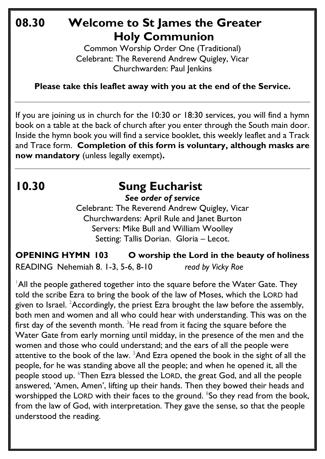# **08.30 Welcome to St James the Greater Holy Communion**

Common Worship Order One (Traditional) Celebrant: The Reverend Andrew Quigley, Vicar Churchwarden: Paul Jenkins

**Please take this leaflet away with you at the end of the Service.**

If you are joining us in church for the 10:30 or 18:30 services, you will find a hymn book on a table at the back of church after you enter through the South main door. Inside the hymn book you will find a service booklet, this weekly leaflet and a Track and Trace form. **Completion of this form is voluntary, although masks are now mandatory** (unless legally exempt)**.** 

# **10.30 Sung Eucharist**

*See order of service*

Celebrant: The Reverend Andrew Quigley, Vicar Churchwardens: April Rule and Janet Burton Servers: Mike Bull and William Woolley Setting: Tallis Dorian. Gloria – Lecot.

**OPENING HYMN 103 O worship the Lord in the beauty of holiness**

READING Nehemiah 8. 1-3, 5-6, 8-10 *read by Vicky Roe*

 $\overline{1}$ All the people gathered together into the square before the Water Gate. They told the scribe Ezra to bring the book of the law of Moses, which the LORD had given to Israel. <sup>2</sup>Accordingly, the priest Ezra brought the law before the assembly, both men and women and all who could hear with understanding. This was on the first day of the seventh month.  $3$ He read from it facing the square before the Water Gate from early morning until midday, in the presence of the men and the women and those who could understand; and the ears of all the people were attentive to the book of the law.  $5$ And Ezra opened the book in the sight of all the people, for he was standing above all the people; and when he opened it, all the people stood up. <sup>6</sup>Then Ezra blessed the LORD, the great God, and all the people answered, 'Amen, Amen', lifting up their hands. Then they bowed their heads and worshipped the LORD with their faces to the ground. <sup>8</sup>So they read from the book, from the law of God, with interpretation. They gave the sense, so that the people understood the reading.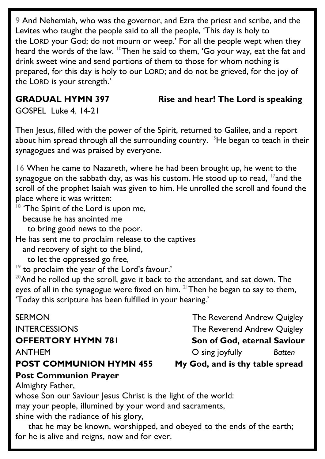9 And Nehemiah, who was the governor, and Ezra the priest and scribe, and the Levites who taught the people said to all the people, 'This day is holy to the LORD your God; do not mourn or weep.' For all the people wept when they heard the words of the law. <sup>10</sup>Then he said to them, 'Go your way, eat the fat and drink sweet wine and send portions of them to those for whom nothing is prepared, for this day is holy to our LORD; and do not be grieved, for the joy of the LORD is your strength.'

#### **GRADUAL HYMN 397 Rise and hear! The Lord is speaking**

GOSPEL Luke 4. 14-21

Then Jesus, filled with the power of the Spirit, returned to Galilee, and a report about him spread through all the surrounding country. <sup>15</sup>He began to teach in their synagogues and was praised by everyone.

16 When he came to Nazareth, where he had been brought up, he went to the synagogue on the sabbath day, as was his custom. He stood up to read,  $17$  and the scroll of the prophet Isaiah was given to him. He unrolled the scroll and found the place where it was written:

 $18$  'The Spirit of the Lord is upon me,

because he has anointed me

to bring good news to the poor.

He has sent me to proclaim release to the captives

and recovery of sight to the blind,

to let the oppressed go free,

<sup>19</sup> to proclaim the year of the Lord's favour.'

 $20$ And he rolled up the scroll, gave it back to the attendant, and sat down. The eyes of all in the synagogue were fixed on him. <sup>21</sup>Then he began to say to them, 'Today this scripture has been fulfilled in your hearing.'

#### **POST COMMUNION HYMN 455 My God, and is thy table spread**

### **Post Communion Prayer**

SERMON GERMON The Reverend Andrew Quigley INTERCESSIONS The Reverend Andrew Quigley

**OFFERTORY HYMN 781 Son of God, eternal Saviour** 

ANTHEMO sing joyfully *Batten*

Almighty Father,

whose Son our Saviour Jesus Christ is the light of the world:

may your people, illumined by your word and sacraments,

shine with the radiance of his glory,

that he may be known, worshipped, and obeyed to the ends of the earth; for he is alive and reigns, now and for ever.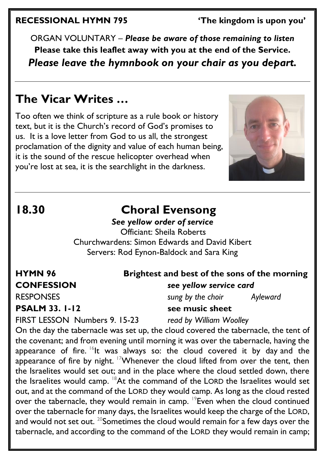#### **RECESSIONAL HYMN 795 'The kingdom is upon you'**

ORGAN VOLUNTARY – *Please be aware of those remaining to listen* **Please take this leaflet away with you at the end of the Service.**  *Please leave the hymnbook on your chair as you depart.*

# **The Vicar Writes …**

Too often we think of scripture as a rule book or history text, but it is the Church's record of God's promises to us. It is a love letter from God to us all, the strongest proclamation of the dignity and value of each human being, it is the sound of the rescue helicopter overhead when you're lost at sea, it is the searchlight in the darkness.



# **18.30 Choral Evensong**

#### *See yellow order of service*

 Officiant: Sheila Roberts Churchwardens: Simon Edwards and David Kibert Servers: Rod Eynon-Baldock and Sara King

### **HYMN 96 Brightest and best of the sons of the morning CONFESSION** *see yellow service card*

RESPONSES *sung by the choir Ayleward* **PSALM** 33. 1-12 see music sheet

FIRST LESSON Numbers 9. 15-23 *read by William Woolley*

On the day the tabernacle was set up, the cloud covered the tabernacle, the tent of the covenant; and from evening until morning it was over the tabernacle, having the appearance of fire.  $16$ It was always so: the cloud covered it by day and the appearance of fire by night. <sup>17</sup>Whenever the cloud lifted from over the tent, then the Israelites would set out; and in the place where the cloud settled down, there the Israelites would camp.  $18$ At the command of the LORD the Israelites would set out, and at the command of the LORD they would camp. As long as the cloud rested over the tabernacle, they would remain in camp. <sup>19</sup>Even when the cloud continued over the tabernacle for many days, the Israelites would keep the charge of the LORD, and would not set out.  $20$ Sometimes the cloud would remain for a few days over the tabernacle, and according to the command of the LORD they would remain in camp;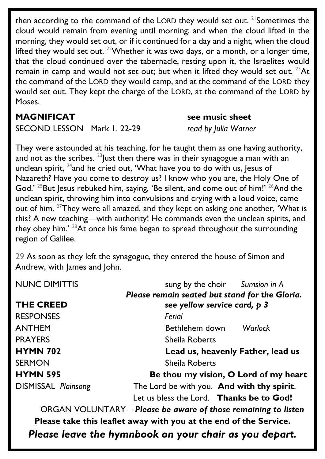then according to the command of the LORD they would set out. <sup>21</sup> Sometimes the cloud would remain from evening until morning; and when the cloud lifted in the morning, they would set out, or if it continued for a day and a night, when the cloud lifted they would set out. <sup>22</sup>Whether it was two days, or a month, or a longer time, that the cloud continued over the tabernacle, resting upon it, the Israelites would remain in camp and would not set out; but when it lifted they would set out.  $^{23}$ At the command of the LORD they would camp, and at the command of the LORD they would set out. They kept the charge of the LORD, at the command of the LORD by Moses.

#### **MAGNIFICAT see music sheet**

SECOND LESSON Mark 1. 22-29 *read by Julia Warner*

They were astounded at his teaching, for he taught them as one having authority, and not as the scribes.  $^{23}$  Just then there was in their synagogue a man with an unclean spirit,  $24$  and he cried out, 'What have you to do with us, lesus of Nazareth? Have you come to destroy us? I know who you are, the Holy One of God.'  $25$ But Jesus rebuked him, saying, 'Be silent, and come out of him!'  $26$ And the unclean spirit, throwing him into convulsions and crying with a loud voice, came out of him. <sup>27</sup>They were all amazed, and they kept on asking one another, 'What is this? A new teaching—with authority! He commands even the unclean spirits, and they obey him.<sup>' 28</sup>At once his fame began to spread throughout the surrounding region of Galilee.

29 As soon as they left the synagogue, they entered the house of Simon and Andrew, with James and John.

| <b>NUNC DIMITTIS</b>       | sung by the choir Sumsion in A                 |
|----------------------------|------------------------------------------------|
|                            | Please remain seated but stand for the Gloria. |
| <b>THE CREED</b>           | see yellow service card, p 3                   |
| <b>RESPONSES</b>           | Ferial                                         |
| <b>ANTHEM</b>              | Warlock<br>Bethlehem down                      |
| <b>PRAYERS</b>             | <b>Sheila Roberts</b>                          |
| <b>HYMN 702</b>            | Lead us, heavenly Father, lead us              |
| <b>SERMON</b>              | Sheila Roberts                                 |
| <b>HYMN 595</b>            | Be thou my vision, O Lord of my heart          |
| <b>DISMISSAL Plainsong</b> | The Lord be with you. And with thy spirit.     |
|                            | Let us bless the Lord. Thanks be to God!       |

ORGAN VOLUNTARY – *Please be aware of those remaining to listen* **Please take this leaflet away with you at the end of the Service.** 

*Please leave the hymnbook on your chair as you depart.*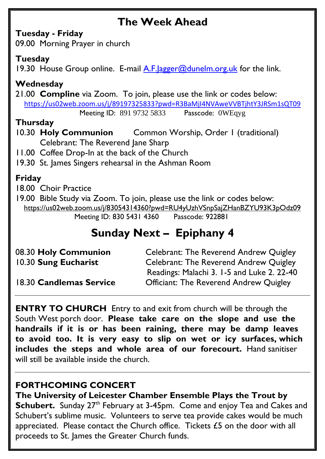# **The Week Ahead**

#### **Tuesday - Friday**

09.00 Morning Prayer in church

#### **Tuesday**

19.30 House Group online. E-mail A.F. agger@dunelm.org.uk for the link.

### **Wednesday**

21.00 **Compline** via Zoom. To join, please use the link or codes below: <https://us02web.zoom.us/j/89197325833?pwd=R3BaMjI4NVAweVVBTjhtY3JRSm1sQT09>

Meeting ID: 891 9732 5833 Passcode: 0WEqyg

#### **Thursday**

- 10.30 **Holy Communion** Common Worship, Order 1 (traditional) Celebrant: The Reverend Jane Sharp
- 11.00 Coffee Drop-In at the back of the Church
- 19.30 St. James Singers rehearsal in the Ashman Room

### **Friday**

18.00 Choir Practice

19.00 Bible Study via Zoom. To join, please use the link or codes below: <https://us02web.zoom.us/j/83054314360?pwd=RU4yUzhVSnpSajZHanBZYU93K3pOdz09> Meeting ID: 830 5431 4360 Passcode: 922881

# **Sunday Next – Epiphany 4**

| 08.30 Holy Communion    | Celebrant: The Reverend Andrew Quigley        |
|-------------------------|-----------------------------------------------|
| 10.30 Sung Eucharist    | <b>Celebrant: The Reverend Andrew Quigley</b> |
|                         | Readings: Malachi 3. 1-5 and Luke 2. 22-40    |
| 18.30 Candlemas Service | <b>Officiant: The Reverend Andrew Quigley</b> |

**ENTRY TO CHURCH** Entry to and exit from church will be through the South West porch door. **Please take care on the slope and use the handrails if it is or has been raining, there may be damp leaves to avoid too. It is very easy to slip on wet or icy surfaces, which includes the steps and whole area of our forecourt.** Hand sanitiser will still be available inside the church.

#### **FORTHCOMING CONCERT**

**The University of Leicester Chamber Ensemble Plays the Trout by Schubert.** Sunday 27<sup>th</sup> February at 3-45pm. Come and enjoy Tea and Cakes and Schubert's sublime music. Volunteers to serve tea provide cakes would be much appreciated. Please contact the Church office. Tickets £5 on the door with all proceeds to St. James the Greater Church funds.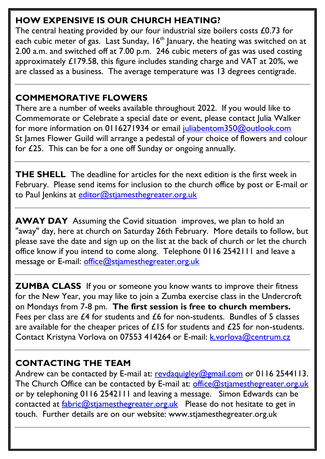### **HOW EXPENSIVE IS OUR CHURCH HEATING?**

The central heating provided by our four industrial size boilers costs £0.73 for each cubic meter of gas. Last Sunday,  $16<sup>th</sup>$  January, the heating was switched on at 2.00 a.m. and switched off at 7.00 p.m. 246 cubic meters of gas was used costing approximately £179.58, this figure includes standing charge and VAT at 20%, we are classed as a business. The average temperature was 13 degrees centigrade.

### **COMMEMORATIVE FLOWERS**

There are a number of weeks available throughout 2022. If you would like to Commemorate or Celebrate a special date or event, please contact Julia Walker for more information on 0116271934 or email [juliabentom350@outlook.com](mailto:juliabentom350@outlook.com) St James Flower Guild will arrange a pedestal of your choice of flowers and colour for £25. This can be for a one off Sunday or ongoing annually.

**THE SHELL** The deadline for articles for the next edition is the first week in February. Please send items for inclusion to the church office by post or E-mail or to Paul Jenkins at [editor@stjamesthegreater.org.uk](mailto:editor@stjamesthegreater.org.uk)

**AWAY DAY** Assuming the Covid situation improves, we plan to hold an "away" day, here at church on Saturday 26th February. More details to follow, but please save the date and sign up on the list at the back of church or let the church office know if you intend to come along. Telephone 0116 2542111 and leave a message or E-mail: [office@stjamesthegreater.org.uk](mailto:office@stjamesthegreater.org.uk)

**ZUMBA CLASS** If you or someone you know wants to improve their fitness for the New Year, you may like to join a Zumba exercise class in the Undercroft on Mondays from 7-8 pm. **The first session is free to church members.**  Fees per class are £4 for students and £6 for non-students. Bundles of 5 classes are available for the cheaper prices of  $£15$  for students and  $£25$  for non-students. Contact Kristyna Vorlova on 07553 414264 or E-mail: **k.vorlova@centrum.cz** 

### **CONTACTING THE TEAM**

Andrew can be contacted by E-mail at: [revdaquigley@gmail.com](mailto:revdaquigley@gmail.com) or 0116 2544113. The Church Office can be contacted by E-mail at: [office@stjamesthegreater.org.uk](mailto:office@stjamesthegreater.org.uk) or by telephoning 0116 2542111 and leaving a message. Simon Edwards can be contacted at  $fabric@stiamesthegreater.org.uk$  Please do not hesitate to get in touch. Further details are on our website: www.stjamesthegreater.org.uk